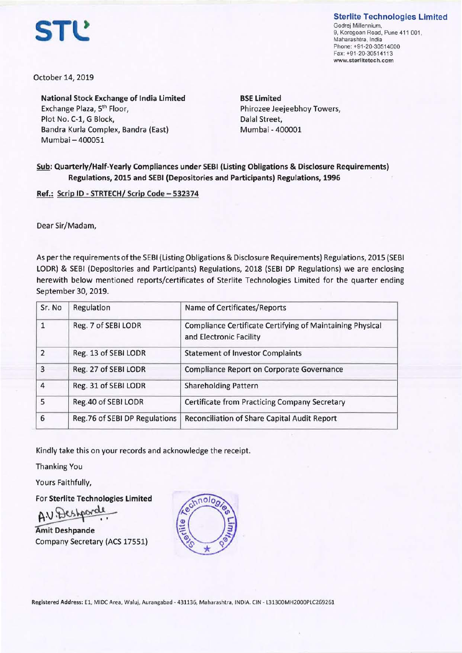**Sterlite Technologies Limited** 

Godrej Millennium, 9, Koregoan Road, Pune 411 001, Maharashtra. India Phone: +91 -20-30514000 Fax: +91 -20-30514113 **www.sterlitetech.com** 

**STl!** 

October 14, 2019

**National Stock Exchange of India Limited**  Exchange Plaza, 5th Floor, Plot No. C-1, G Block, Dalal Street, Bandra Kurla Complex, Bandra (East) Mumbai-400051

**BSE Limited**  Phirozee Jeejeebhoy Towers, Mumbai - 400001

## **Sub: Quarterly/Half-Yearly Compliances under SEBI (Listing Obligations** & **Disclosure Requirements) Regulations, 2015 and SEBI (Depositories and Participants) Regulations, 1996**

**Ref.: Scrip** ID - **STRTECH/ Scrip Code** - **532374** 

Dear Sir/Madam,

As per the requirements of the SEBI (Listing Obligations & Disclosure Requirements) Regulations, 2015 (SEBI LODR) & SEBI (Depositories and Participants) Regulations, 2018 (SEBI DP Regulations) we are enclosing herewith below mentioned reports/certificates of Sterlite Technologies Limited for the quarter ending September 30, 2019.

| Sr. No         | Regulation                    | Name of Certificates/Reports                                                         |
|----------------|-------------------------------|--------------------------------------------------------------------------------------|
| 1              | Reg. 7 of SEBI LODR           | Compliance Certificate Certifying of Maintaining Physical<br>and Electronic Facility |
| $\overline{2}$ | Reg. 13 of SEBI LODR          | <b>Statement of Investor Complaints</b>                                              |
| 3              | Reg. 27 of SEBI LODR          | Compliance Report on Corporate Governance                                            |
| 4              | Reg. 31 of SEBI LODR          | <b>Shareholding Pattern</b>                                                          |
| 5              | Reg.40 of SEBI LODR           | Certificate from Practicing Company Secretary                                        |
| 6              | Reg.76 of SEBI DP Regulations | Reconciliation of Share Capital Audit Report                                         |

Kindly take this on your records and acknowledge the receipt.

Thanking You

Yours Faithfully,

For **Sterlite Technologies Limited** 

Thanking You<br>Yours Faithfully,<br>For Sterlite Technologies Limited<br>Amit Deshpande<br>Company Secretary (ACS 17551) Company Secretary (ACS 17551)